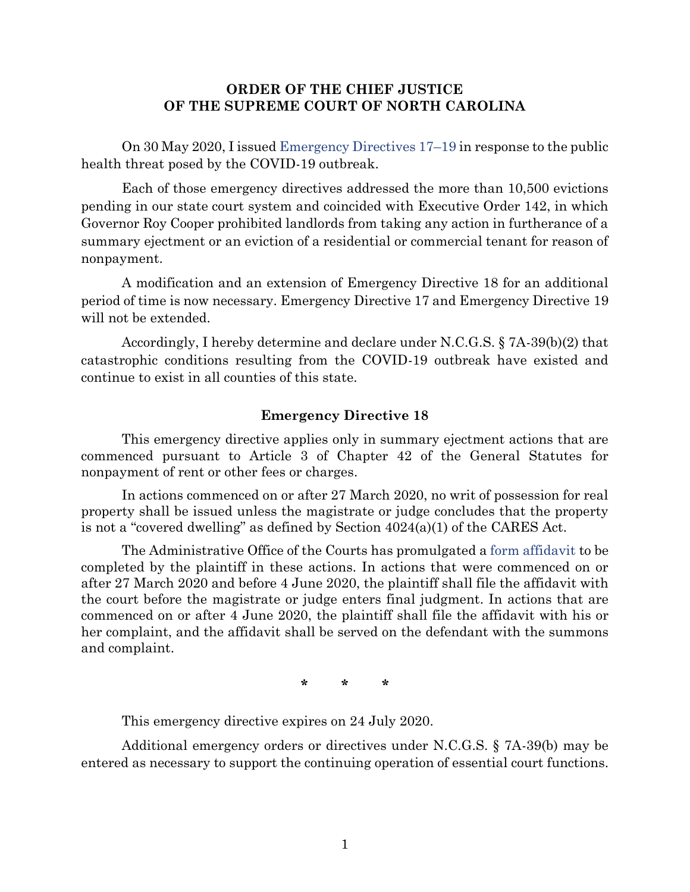## **ORDER OF THE CHIEF JUSTICE OF THE SUPREME COURT OF NORTH CAROLINA**

On 30 May 2020, I issued [Emergency Directives 17](https://www.nccourts.gov/assets/news-uploads/30%20May%202020%207A-39%28b%29%282%29%20Order.pdf?v6tK3XJVqgOY0Ps80nAcS6s5ghD2XLeU)–19 in response to the public health threat posed by the COVID-19 outbreak.

Each of those emergency directives addressed the more than 10,500 evictions pending in our state court system and coincided with Executive Order 142, in which Governor Roy Cooper prohibited landlords from taking any action in furtherance of a summary ejectment or an eviction of a residential or commercial tenant for reason of nonpayment.

A modification and an extension of Emergency Directive 18 for an additional period of time is now necessary. Emergency Directive 17 and Emergency Directive 19 will not be extended.

Accordingly, I hereby determine and declare under N.C.G.S. § 7A-39(b)(2) that catastrophic conditions resulting from the COVID-19 outbreak have existed and continue to exist in all counties of this state.

## **Emergency Directive 18**

This emergency directive applies only in summary ejectment actions that are commenced pursuant to Article 3 of Chapter 42 of the General Statutes for nonpayment of rent or other fees or charges.

In actions commenced on or after 27 March 2020, no writ of possession for real property shall be issued unless the magistrate or judge concludes that the property is not a "covered dwelling" as defined by Section  $4024(a)(1)$  of the CARES Act.

The Administrative Office of the Courts has promulgated a [form affidavit](https://www.nccourts.gov/documents/forms/cares-act-affidavit-summary-ejectment) to be completed by the plaintiff in these actions. In actions that were commenced on or after 27 March 2020 and before 4 June 2020, the plaintiff shall file the affidavit with the court before the magistrate or judge enters final judgment. In actions that are commenced on or after 4 June 2020, the plaintiff shall file the affidavit with his or her complaint, and the affidavit shall be served on the defendant with the summons and complaint.

**\* \* \***

This emergency directive expires on 24 July 2020.

Additional emergency orders or directives under N.C.G.S. § 7A-39(b) may be entered as necessary to support the continuing operation of essential court functions.